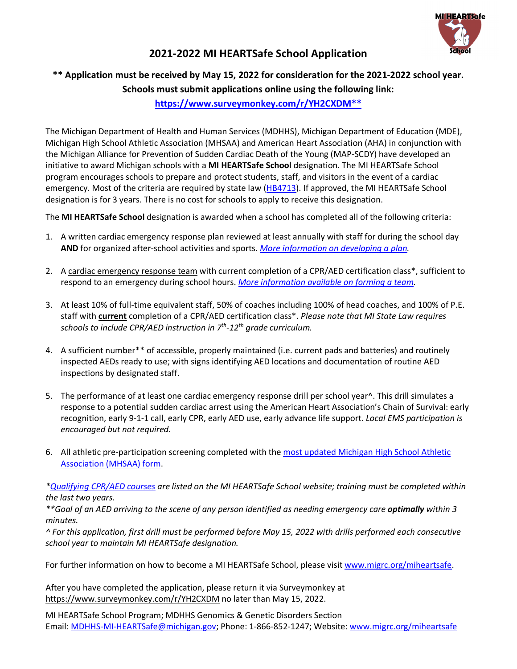

# **2021-2022 MI HEARTSafe School Application**

# **\*\* Application must be received by May 15, 2022 for consideration for the 2021-2022 school year. Schools must submit applications online using the following link:**

## **[https://www.surveymonkey.com/r/YH2CXDM\\*\\*](https://www.surveymonkey.com/r/YH2CXDM**)**

The Michigan Department of Health and Human Services (MDHHS), Michigan Department of Education (MDE), Michigan High School Athletic Association (MHSAA) and American Heart Association (AHA) in conjunction with the Michigan Alliance for Prevention of Sudden Cardiac Death of the Young (MAP-SCDY) have developed an initiative to award Michigan schools with a **MI HEARTSafe School** designation. The MI HEARTSafe School program encourages schools to prepare and protect students, staff, and visitors in the event of a cardiac emergency. Most of the criteria are required by state law [\(HB4713\)](https://www.legislature.mi.gov/documents/2013-2014/publicact/pdf/2014-PA-0012.pdf). If approved, the MI HEARTSafe School designation is for 3 years. There is no cost for schools to apply to receive this designation.

The **MI HEARTSafe School** designation is awarded when a school has completed all of the following criteria:

- 1. A written cardiac emergency response plan reviewed at least annually with staff for during the school day **AND** for organized after-school activities and sports. *[More information on developing a plan.](https://migrc.org/patients-families/mi-heartsafe-schools/mi-heartsafe-emergency-response-plan-and-drills/)*
- 2. A cardiac emergency response team with current completion of a CPR/AED certification class\*, sufficient to respond to an emergency during school hours. *[More information available on forming a team.](https://migrc.org/patients-families/mi-heartsafe-schools/mi-heartsafe-emergency-response-plan-and-drills/)*
- 3. At least 10% of full-time equivalent staff, 50% of coaches including 100% of head coaches, and 100% of P.E. staff with **current** completion of a CPR/AED certification class\*. *Please note that MI State Law requires schools to include CPR/AED instruction in 7th-12th grade curriculum.*
- 4. A sufficient number\*\* of accessible, properly maintained (i.e. current pads and batteries) and routinely inspected AEDs ready to use; with signs identifying AED locations and documentation of routine AED inspections by designated staff.
- 5. The performance of at least one cardiac emergency response drill per school year^. This drill simulates a response to a potential sudden cardiac arrest using the American Heart Association's Chain of Survival: early recognition, early 9-1-1 call, early CPR, early AED use, early advance life support. *Local EMS participation is encouraged but not required.*
- 6. All athletic pre-participation screening completed with th[e most updated Michigan](https://www.mhsaa.com/Schools/Forms-Resources) High School Athletic Association [\(MHSAA\) form.](https://www.mhsaa.com/Schools/Forms-Resources)

*[\\*Qualifying CPR/AED courses](https://migrc.org/patients-families/mi-heartsafe-schools/mi-heartsafe-cpr-and-aed-training/) are listed on the MI HEARTSafe School website; training must be completed within the last two years.*

*\*\*Goal of an AED arriving to the scene of any person identified as needing emergency care optimally within 3 minutes.*

*^ For this application, first drill must be performed before May 15, 2022 with drills performed each consecutive school year to maintain MI HEARTSafe designation.*

For further information on how to become a MI HEARTSafe School, please visit [www.migrc.org/miheartsafe.](http://www.migrc.org/miheartsafe)

After you have completed the application, please return it via Surveymonkey at <https://www.surveymonkey.com/r/YH2CXDM> no later than May 15, 2022.

MI HEARTSafe School Program; MDHHS Genomics & Genetic Disorders Section Email: [MDHHS-MI-HEARTSafe@michigan.gov;](mailto:MDHHS-MI-HEARTSafe@michigan.gov) Phone: 1-866-852-1247; Website: [www.migrc.org/miheartsafe](http://www.migrc.org/miheartsafe)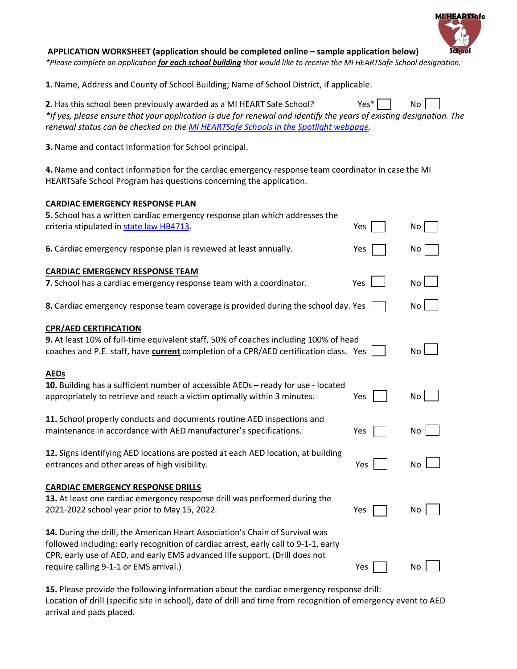### **APPLICATION WORKSHEET (application should be completed online – sample application below)**

*\*Please complete an application for each school building that would like to receive the MI HEARTSafe School designation.*

**MIHEARTSafe** 

**1.** Name, Address and County of School Building; Name of School District, if applicable.

| 2. Has this school been previously awarded as a MI HEART Safe School?                                               | $Yes*$ | No |  |
|---------------------------------------------------------------------------------------------------------------------|--------|----|--|
| *If yes, please ensure that your application is due for renewal and identify the years of existing designation. The |        |    |  |
| renewal status can be checked on the MI HEARTSafe Schools in the Spotlight webpage.                                 |        |    |  |

**3.** Name and contact information for School principal.

**4.** Name and contact information for the cardiac emergency response team coordinator in case the MI HEARTSafe School Program has questions concerning the application.

#### **CARDIAC EMERGENCY RESPONSE PLAN**

| 5. School has a written cardiac emergency response plan which addresses the<br>criteria stipulated in state law HB4713.                                                                                                                            | Yes | No        |
|----------------------------------------------------------------------------------------------------------------------------------------------------------------------------------------------------------------------------------------------------|-----|-----------|
| 6. Cardiac emergency response plan is reviewed at least annually.                                                                                                                                                                                  | Yes | No        |
| <b>CARDIAC EMERGENCY RESPONSE TEAM</b>                                                                                                                                                                                                             |     |           |
| 7. School has a cardiac emergency response team with a coordinator.                                                                                                                                                                                | Yes | No        |
| 8. Cardiac emergency response team coverage is provided during the school day. Yes                                                                                                                                                                 |     | No        |
| <b>CPR/AED CERTIFICATION</b><br>9. At least 10% of full-time equivalent staff, 50% of coaches including 100% of head<br>coaches and P.E. staff, have current completion of a CPR/AED certification class. Yes                                      |     | <b>No</b> |
| <b>AEDs</b><br>10. Building has a sufficient number of accessible AEDs - ready for use - located<br>appropriately to retrieve and reach a victim optimally within 3 minutes.                                                                       | Yes | No        |
| 11. School properly conducts and documents routine AED inspections and<br>maintenance in accordance with AED manufacturer's specifications.                                                                                                        | Yes | No        |
| 12. Signs identifying AED locations are posted at each AED location, at building<br>entrances and other areas of high visibility.                                                                                                                  | Yes | <b>No</b> |
| <b>CARDIAC EMERGENCY RESPONSE DRILLS</b>                                                                                                                                                                                                           |     |           |
| 13. At least one cardiac emergency response drill was performed during the<br>2021-2022 school year prior to May 15, 2022.                                                                                                                         | Yes | No        |
| 14. During the drill, the American Heart Association's Chain of Survival was<br>followed including: early recognition of cardiac arrest, early call to 9-1-1, early<br>CPR, early use of AED, and early EMS advanced life support. (Drill does not |     |           |
| require calling 9-1-1 or EMS arrival.)                                                                                                                                                                                                             | Yes | No        |

**15.** Please provide the following information about the cardiac emergency response drill: Location of drill (specific site in school), date of drill and time from recognition of emergency event to AED arrival and pads placed.